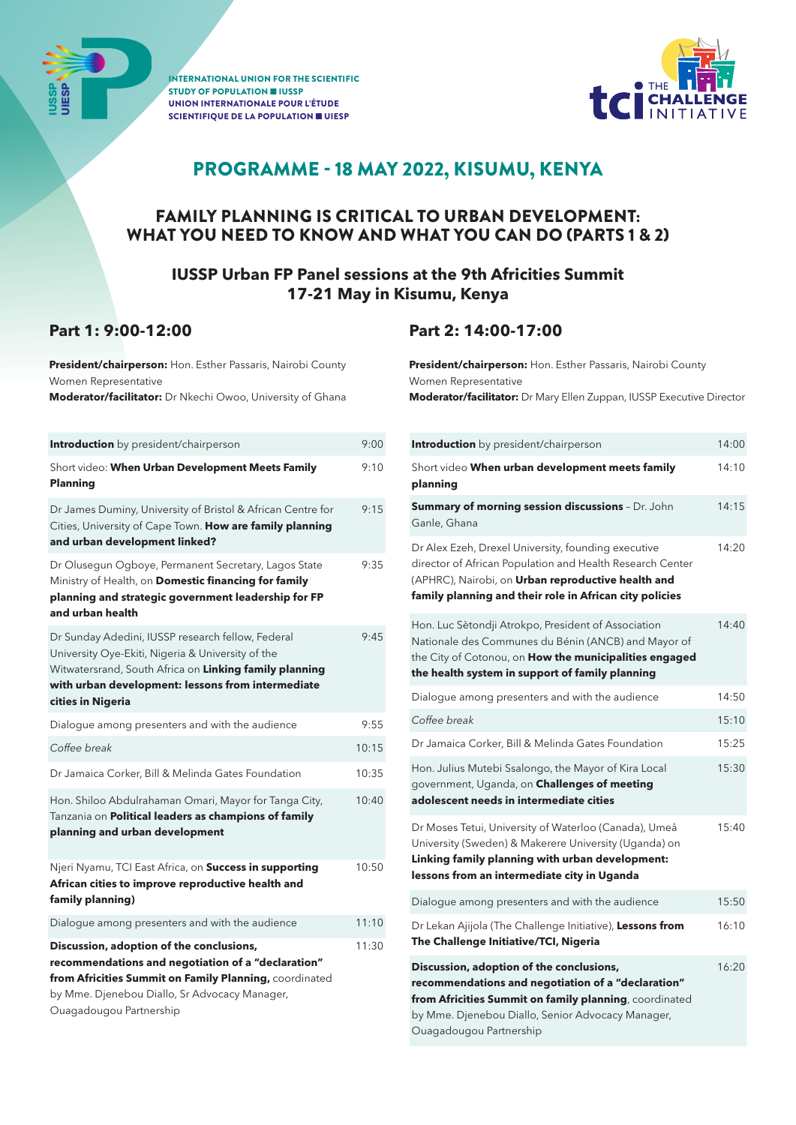

INTERNATIONAL UNION FOR THE SCIENTIFIC STUDY OF POPULATION ■ IUSSP UNION INTERNATIONALE POUR L'ÉTUDE SCIENTIFIQUE DE LA POPULATION ■ UIESP



## PROGRAMME - 18 MAY 2022, KISUMU, KENYA

## FAMILY PLANNING IS CRITICAL TO URBAN DEVELOPMENT: WHAT YOU NEED TO KNOW AND WHAT YOU CAN DO (PARTS 1 & 2)

### **IUSSP Urban FP Panel sessions at the 9th Africities Summit 17-21 May in Kisumu, Kenya**

## **Part 1: 9:00-12:00**

**President/chairperson:** Hon. Esther Passaris, Nairobi County Women Representative

**Moderator/facilitator:** Dr Nkechi Owoo, University of Ghana

| <b>Introduction</b> by president/chairperson                                                                                                                                                                                               | 9:00  |
|--------------------------------------------------------------------------------------------------------------------------------------------------------------------------------------------------------------------------------------------|-------|
| Short video: When Urban Development Meets Family<br>Planning                                                                                                                                                                               | 9:10  |
| Dr James Duminy, University of Bristol & African Centre for<br>Cities, University of Cape Town. How are family planning<br>and urban development linked?                                                                                   | 9:15  |
| Dr Olusegun Ogboye, Permanent Secretary, Lagos State<br>Ministry of Health, on Domestic financing for family<br>planning and strategic government leadership for FP<br>and urban health                                                    | 9:35  |
| Dr Sunday Adedini, IUSSP research fellow, Federal<br>University Oye-Ekiti, Nigeria & University of the<br>Witwatersrand, South Africa on Linking family planning<br>with urban development: lessons from intermediate<br>cities in Nigeria | 9.45  |
| Dialogue among presenters and with the audience                                                                                                                                                                                            | 9:55  |
| Coffee break                                                                                                                                                                                                                               | 10:15 |
| Dr Jamaica Corker, Bill & Melinda Gates Foundation                                                                                                                                                                                         | 10:35 |
| Hon. Shiloo Abdulrahaman Omari, Mayor for Tanga City,<br>Tanzania on Political leaders as champions of family<br>planning and urban development                                                                                            | 10:40 |
| Njeri Nyamu, TCI East Africa, on Success in supporting<br>African cities to improve reproductive health and<br>family planning)                                                                                                            | 10:50 |
| Dialogue among presenters and with the audience                                                                                                                                                                                            | 11:10 |
| Discussion, adoption of the conclusions,<br>recommendations and negotiation of a "declaration"<br>from Africities Summit on Family Planning, coordinated<br>by Mme. Djenebou Diallo, Sr Advocacy Manager,<br>Ouagadougou Partnership       | 11:30 |

## **Part 2: 14:00-17:00**

**President/chairperson:** Hon. Esther Passaris, Nairobi County Women Representative **Moderator/facilitator:** Dr Mary Ellen Zuppan, IUSSP Executive Director

| <b>Introduction</b> by president/chairperson                                                                                                                                                                                             | 14:00 |
|------------------------------------------------------------------------------------------------------------------------------------------------------------------------------------------------------------------------------------------|-------|
| Short video When urban development meets family<br>planning                                                                                                                                                                              | 14:10 |
| Summary of morning session discussions - Dr. John<br>Ganle, Ghana                                                                                                                                                                        | 14:15 |
| Dr Alex Ezeh, Drexel University, founding executive<br>director of African Population and Health Research Center<br>(APHRC), Nairobi, on Urban reproductive health and<br>family planning and their role in African city policies        | 14:20 |
| Hon. Luc Sètondji Atrokpo, President of Association<br>Nationale des Communes du Bénin (ANCB) and Mayor of<br>the City of Cotonou, on How the municipalities engaged<br>the health system in support of family planning                  | 14:40 |
| Dialogue among presenters and with the audience                                                                                                                                                                                          | 14:50 |
| Coffee break                                                                                                                                                                                                                             | 15:10 |
| Dr Jamaica Corker, Bill & Melinda Gates Foundation                                                                                                                                                                                       | 15:25 |
| Hon. Julius Mutebi Ssalongo, the Mayor of Kira Local<br>government, Uganda, on Challenges of meeting<br>adolescent needs in intermediate cities                                                                                          | 15:30 |
| Dr Moses Tetui, University of Waterloo (Canada), Umeå<br>University (Sweden) & Makerere University (Uganda) on<br>Linking family planning with urban development:<br>lessons from an intermediate city in Uganda                         | 15:40 |
| Dialogue among presenters and with the audience                                                                                                                                                                                          | 15:50 |
| Dr Lekan Ajijola (The Challenge Initiative), Lessons from<br>The Challenge Initiative/TCI, Nigeria                                                                                                                                       | 16:10 |
| Discussion, adoption of the conclusions,<br>recommendations and negotiation of a "declaration"<br>from Africities Summit on family planning, coordinated<br>by Mme. Djenebou Diallo, Senior Advocacy Manager,<br>Ouagadougou Partnership | 16:20 |